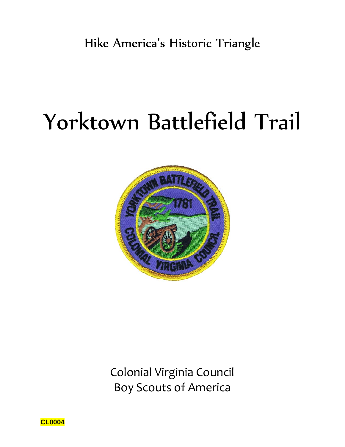# Yorktown Battlefield Trail



Colonial Virginia Council Boy Scouts of America

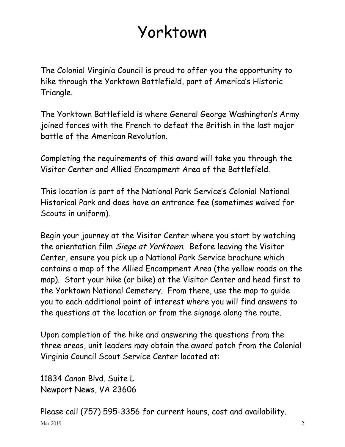# Yorktown

The Colonial Virginia Council is proud to offer you the opportunity to hike through the Yorktown Battlefield, part of America's Historic Triangle.

The Yorktown Battlefield is where General George Washington's Army joined forces with the French to defeat the British in the last major battle of the American Revolution.

Completing the requirements of this award will take you through the Visitor Center and Allied Encampment Area of the Battlefield.

This location is part of the National Park Service's Colonial National Historical Park and does have an entrance fee (sometimes waived for Scouts in uniform).

Begin your journey at the Visitor Center where you start by watching the orientation film *Siege at Yorktown*. Before leaving the Visitor Center, ensure you pick up a National Park Service brochure which contains a map of the Allied Encampment Area (the yellow roads on the map). Start your hike (or bike) at the Visitor Center and head first to the Yorktown National Cemetery. From there, use the map to guide you to each additional point of interest where you will find answers to the questions at the location or from the signage along the route.

Upon completion of the hike and answering the questions from the three areas, unit leaders may obtain the award patch from the Colonial Virginia Council Scout Service Center located at:

11834 Canon Blvd. Suite L Newport News, VA 23606

Please call (757) 595-3356 for current hours, cost and availability.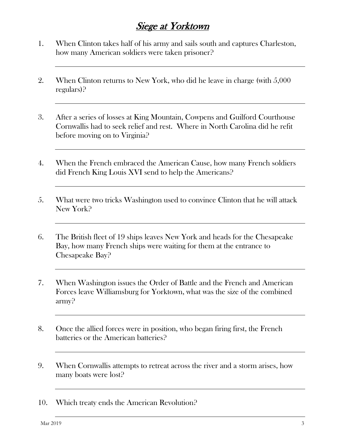## Siege at Yorktown

- 1. When Clinton takes half of his army and sails south and captures Charleston, how many American soldiers were taken prisoner?
- 2. When Clinton returns to New York, who did he leave in charge (with 5,000 regulars)?
- 3. After a series of losses at King Mountain, Cowpens and Guilford Courthouse Cornwallis had to seek relief and rest. Where in North Carolina did he refit before moving on to Virginia?
- 4. When the French embraced the American Cause, how many French soldiers did French King Louis XVI send to help the Americans?
- 5. What were two tricks Washington used to convince Clinton that he will attack New York?
- 6. The British fleet of 19 ships leaves New York and heads for the Chesapeake Bay, how many French ships were waiting for them at the entrance to Chesapeake Bay?
- 7. When Washington issues the Order of Battle and the French and American Forces leave Williamsburg for Yorktown, what was the size of the combined army?
- 8. Once the allied forces were in position, who began firing first, the French batteries or the American batteries?
- 9. When Cornwallis attempts to retreat across the river and a storm arises, how many boats were lost?
- 10. Which treaty ends the American Revolution?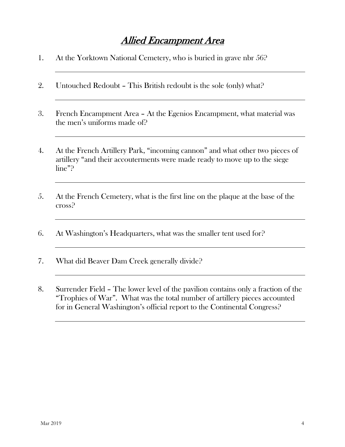## Allied Encampment Area

- 1. At the Yorktown National Cemetery, who is buried in grave nbr 56?
- 2. Untouched Redoubt This British redoubt is the sole (only) what?
- 3. French Encampment Area At the Egenios Encampment, what material was the men's uniforms made of?
- 4. At the French Artillery Park, "incoming cannon" and what other two pieces of artillery "and their accouterments were made ready to move up to the siege line"?
- 5. At the French Cemetery, what is the first line on the plaque at the base of the cross?
- 6. At Washington's Headquarters, what was the smaller tent used for?
- 7. What did Beaver Dam Creek generally divide?
- 8. Surrender Field The lower level of the pavilion contains only a fraction of the "Trophies of War". What was the total number of artillery pieces accounted for in General Washington's official report to the Continental Congress?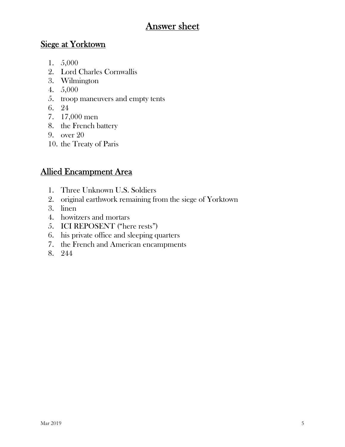## Answer sheet

#### Siege at Yorktown

- 1. 5,000
- 2. Lord Charles Cornwallis
- 3. Wilmington
- 4. 5,000
- 5. troop maneuvers and empty tents
- 6. 24
- 7. 17,000 men
- 8. the French battery
- 9. over 20
- 10. the Treaty of Paris

#### Allied Encampment Area

- 1. Three Unknown U.S. Soldiers
- 2. original earthwork remaining from the siege of Yorktown
- 3. linen
- 4. howitzers and mortars
- 5. ICI REPOSENT ("here rests")
- 6. his private office and sleeping quarters
- 7. the French and American encampments
- 8. 244